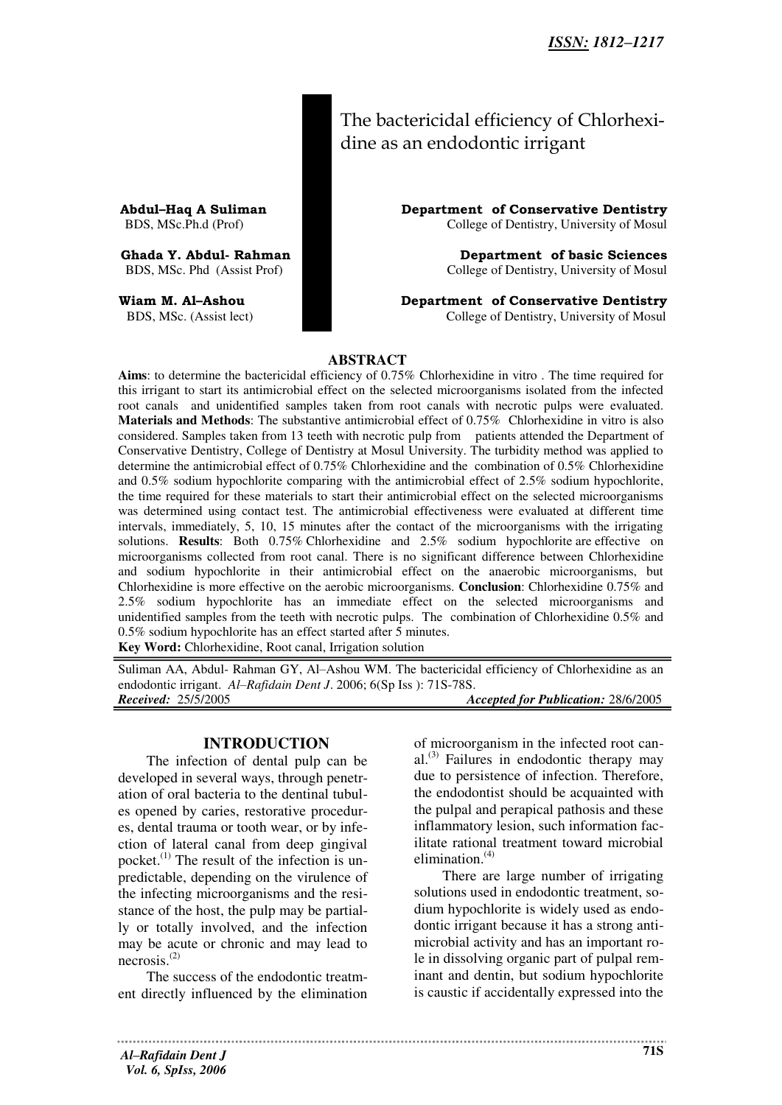| The bactericidal efficiency of Chlorhexi- |
|-------------------------------------------|
| dine as an endodontic irrigant            |

**Abdul–Haq A Suliman**<br> **Department of Conservative Dentistry**<br>
College of Dentistry, University of Mosul<br> **Department of Conservative Dentistry** College of Dentistry, University of Mosul

**Ghada Y. Abdul- Rahman Sciences**<br>
BDS. MSc. Phd (Assist Prof) **Department of basic Sciences**<br>
College of Dentistry. University of Mosul College of Dentistry, University of Mosul

**Wiam M. Al–Ashou Department of Conservative Dentistry** BDS, MSc. (Assist lect) College of Dentistry, University of Mosul

### **ABSTRACT**

**Aims**: to determine the bactericidal efficiency of 0.75% Chlorhexidine in vitro . The time required for this irrigant to start its antimicrobial effect on the selected microorganisms isolated from the infected root canals and unidentified samples taken from root canals with necrotic pulps were evaluated. **Materials and Methods**: The substantive antimicrobial effect of 0.75% Chlorhexidine in vitro is also considered. Samples taken from 13 teeth with necrotic pulp from patients attended the Department of Conservative Dentistry, College of Dentistry at Mosul University. The turbidity method was applied to determine the antimicrobial effect of 0.75% Chlorhexidine and the combination of 0.5% Chlorhexidine and 0.5% sodium hypochlorite comparing with the antimicrobial effect of 2.5% sodium hypochlorite, the time required for these materials to start their antimicrobial effect on the selected microorganisms was determined using contact test. The antimicrobial effectiveness were evaluated at different time intervals, immediately, 5, 10, 15 minutes after the contact of the microorganisms with the irrigating solutions. **Results**: Both 0.75% Chlorhexidine and 2.5% sodium hypochlorite are effective on microorganisms collected from root canal. There is no significant difference between Chlorhexidine and sodium hypochlorite in their antimicrobial effect on the anaerobic microorganisms, but Chlorhexidine is more effective on the aerobic microorganisms. **Conclusion**: Chlorhexidine 0.75% and 2.5% sodium hypochlorite has an immediate effect on the selected microorganisms and unidentified samples from the teeth with necrotic pulps. The combination of Chlorhexidine 0.5% and 0.5% sodium hypochlorite has an effect started after 5 minutes. **Key Word:** Chlorhexidine, Root canal, Irrigation solution

Suliman AA, Abdul- Rahman GY, Al–Ashou WM. The bactericidal efficiency of Chlorhexidine as an endodontic irrigant. *Al–Rafidain Dent J*. 2006; 6(Sp Iss ): 71S-78S. *Received:* 25/5/2005 *Accepted for Publication:* 28/6/2005

### **INTRODUCTION**

The infection of dental pulp can be developed in several ways, through penetration of oral bacteria to the dentinal tubules opened by caries, restorative procedures, dental trauma or tooth wear, or by infection of lateral canal from deep gingival pocket.<sup>(1)</sup> The result of the infection is unpredictable, depending on the virulence of the infecting microorganisms and the resistance of the host, the pulp may be partially or totally involved, and the infection may be acute or chronic and may lead to necrosis.(2)

The success of the endodontic treatment directly influenced by the elimination of microorganism in the infected root canal. (3) Failures in endodontic therapy may due to persistence of infection. Therefore, the endodontist should be acquainted with the pulpal and perapical pathosis and these inflammatory lesion, such information facilitate rational treatment toward microbial elimination.<sup>(4)</sup>

There are large number of irrigating solutions used in endodontic treatment, sodium hypochlorite is widely used as endodontic irrigant because it has a strong antimicrobial activity and has an important role in dissolving organic part of pulpal reminant and dentin, but sodium hypochlorite is caustic if accidentally expressed into the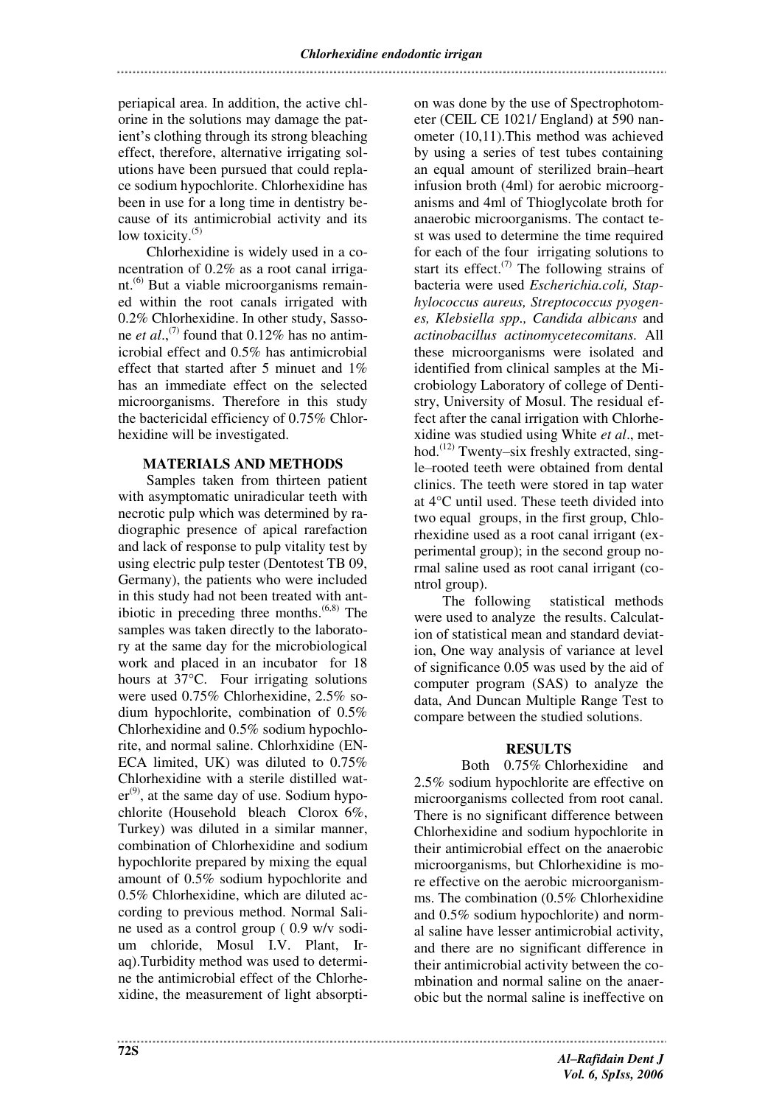periapical area. In addition, the active chlorine in the solutions may damage the patient's clothing through its strong bleaching effect, therefore, alternative irrigating solutions have been pursued that could replace sodium hypochlorite. Chlorhexidine has been in use for a long time in dentistry because of its antimicrobial activity and its low toxicity.<sup>(5)</sup>

Chlorhexidine is widely used in a concentration of 0.2% as a root canal irrigant.<sup>(6)</sup> But a viable microorganisms remained within the root canals irrigated with 0.2% Chlorhexidine. In other study, Sassone *et al.*,<sup>(7)</sup> found that 0.12% has no antimicrobial effect and 0.5% has antimicrobial effect that started after 5 minuet and 1% has an immediate effect on the selected microorganisms. Therefore in this study the bactericidal efficiency of 0.75% Chlorhexidine will be investigated.

## **MATERIALS AND METHODS**

Samples taken from thirteen patient with asymptomatic uniradicular teeth with necrotic pulp which was determined by radiographic presence of apical rarefaction and lack of response to pulp vitality test by using electric pulp tester (Dentotest TB 09, Germany), the patients who were included in this study had not been treated with antibiotic in preceding three months. $(6,8)$  The samples was taken directly to the laboratory at the same day for the microbiological work and placed in an incubator for 18 hours at 37°C. Four irrigating solutions were used 0.75% Chlorhexidine, 2.5% sodium hypochlorite, combination of 0.5% Chlorhexidine and 0.5% sodium hypochlorite, and normal saline. Chlorhxidine (EN-ECA limited, UK) was diluted to 0.75% Chlorhexidine with a sterile distilled wat $er^{(9)}$ , at the same day of use. Sodium hypochlorite (Household bleach Clorox 6%, Turkey) was diluted in a similar manner, combination of Chlorhexidine and sodium hypochlorite prepared by mixing the equal amount of 0.5% sodium hypochlorite and 0.5% Chlorhexidine, which are diluted according to previous method. Normal Saline used as a control group ( 0.9 w/v sodium chloride, Mosul I.V. Plant, Iraq).Turbidity method was used to determine the antimicrobial effect of the Chlorhexidine, the measurement of light absorpti-

on was done by the use of Spectrophotometer (CEIL CE 1021/ England) at 590 nanometer (10,11).This method was achieved by using a series of test tubes containing an equal amount of sterilized brain–heart infusion broth (4ml) for aerobic microorganisms and 4ml of Thioglycolate broth for anaerobic microorganisms. The contact test was used to determine the time required for each of the four irrigating solutions to start its effect.<sup> $(7)$ </sup> The following strains of bacteria were used *Escherichia.coli, Staphylococcus aureus, Streptococcus pyogenes, Klebsiella spp., Candida albicans* and *actinobacillus actinomycetecomitans.* All these microorganisms were isolated and identified from clinical samples at the Microbiology Laboratory of college of Dentistry, University of Mosul. The residual effect after the canal irrigation with Chlorhexidine was studied using White *et al*., method.<sup>(12)</sup> Twenty–six freshly extracted, single–rooted teeth were obtained from dental clinics. The teeth were stored in tap water at 4°C until used. These teeth divided into two equal groups, in the first group, Chlorhexidine used as a root canal irrigant (experimental group); in the second group normal saline used as root canal irrigant (control group).

The following statistical methods were used to analyze the results. Calculation of statistical mean and standard deviation, One way analysis of variance at level of significance 0.05 was used by the aid of computer program (SAS) to analyze the data, And Duncan Multiple Range Test to compare between the studied solutions.

# **RESULTS**

Both 0.75% Chlorhexidine and 2.5% sodium hypochlorite are effective on microorganisms collected from root canal. There is no significant difference between Chlorhexidine and sodium hypochlorite in their antimicrobial effect on the anaerobic microorganisms, but Chlorhexidine is more effective on the aerobic microorganismms. The combination (0.5% Chlorhexidine and 0.5% sodium hypochlorite) and normal saline have lesser antimicrobial activity, and there are no significant difference in their antimicrobial activity between the combination and normal saline on the anaerobic but the normal saline is ineffective on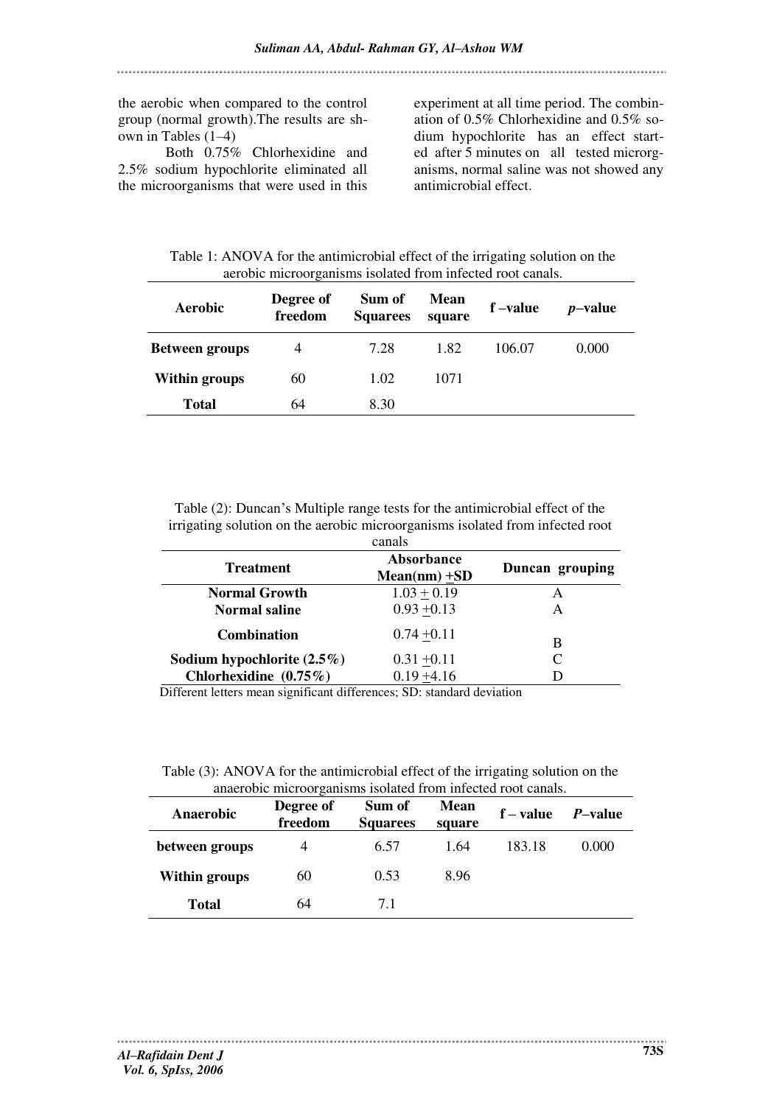the aerobic when compared to the control group (normal growth).The results are shown in Tables (1–4)

Both 0.75% Chlorhexidine and 2.5% sodium hypochlorite eliminated all the microorganisms that were used in this experiment at all time period. The combination of 0.5% Chlorhexidine and 0.5% sodium hypochlorite has an effect started after 5 minutes on all tested microrganisms, normal saline was not showed any antimicrobial effect.

Table 1: ANOVA for the antimicrobial effect of the irrigating solution on the aerobic microorganisms isolated from infected root canals.

| Aerobic               | Degree of<br>freedom | Sum of<br><b>Squarees</b> | <b>Mean</b><br>square | f-value | <i>p</i> -value |
|-----------------------|----------------------|---------------------------|-----------------------|---------|-----------------|
| <b>Between groups</b> | 4                    | 7.28                      | 1.82                  | 106.07  | 0.000           |
| <b>Within groups</b>  | 60                   | 1.02                      | 1071                  |         |                 |
| <b>Total</b>          | 64                   | 8.30                      |                       |         |                 |

Table (2): Duncan's Multiple range tests for the antimicrobial effect of the irrigating solution on the aerobic microorganisms isolated from infected root canals

| <b></b>                       |                               |                 |  |  |
|-------------------------------|-------------------------------|-----------------|--|--|
| <b>Treatment</b>              | Absorbance<br>$Mean(nm) + SD$ | Duncan grouping |  |  |
| <b>Normal Growth</b>          | $1.03 + 0.19$                 | A               |  |  |
| <b>Normal saline</b>          | $0.93 + 0.13$                 | А               |  |  |
| <b>Combination</b>            | $0.74 + 0.11$                 | B               |  |  |
| Sodium hypochlorite $(2.5\%)$ | $0.31 + 0.11$                 | C               |  |  |
| Chlorhexidine (0.75%)         | $0.19 + 4.16$                 |                 |  |  |

Different letters mean significant differences; SD: standard deviation

Table (3): ANOVA for the antimicrobial effect of the irrigating solution on the anaerobic microorganisms isolated from infected root canals.

| Anaerobic            | Degree of<br>freedom | Sum of<br><b>Squarees</b> | <b>Mean</b><br>square | $f-value$ | <i>P</i> -value |
|----------------------|----------------------|---------------------------|-----------------------|-----------|-----------------|
| between groups       | 4                    | 6.57                      | 1.64                  | 183.18    | 0.000           |
| <b>Within groups</b> | 60                   | 0.53                      | 8.96                  |           |                 |
| <b>Total</b>         | 64                   | 71                        |                       |           |                 |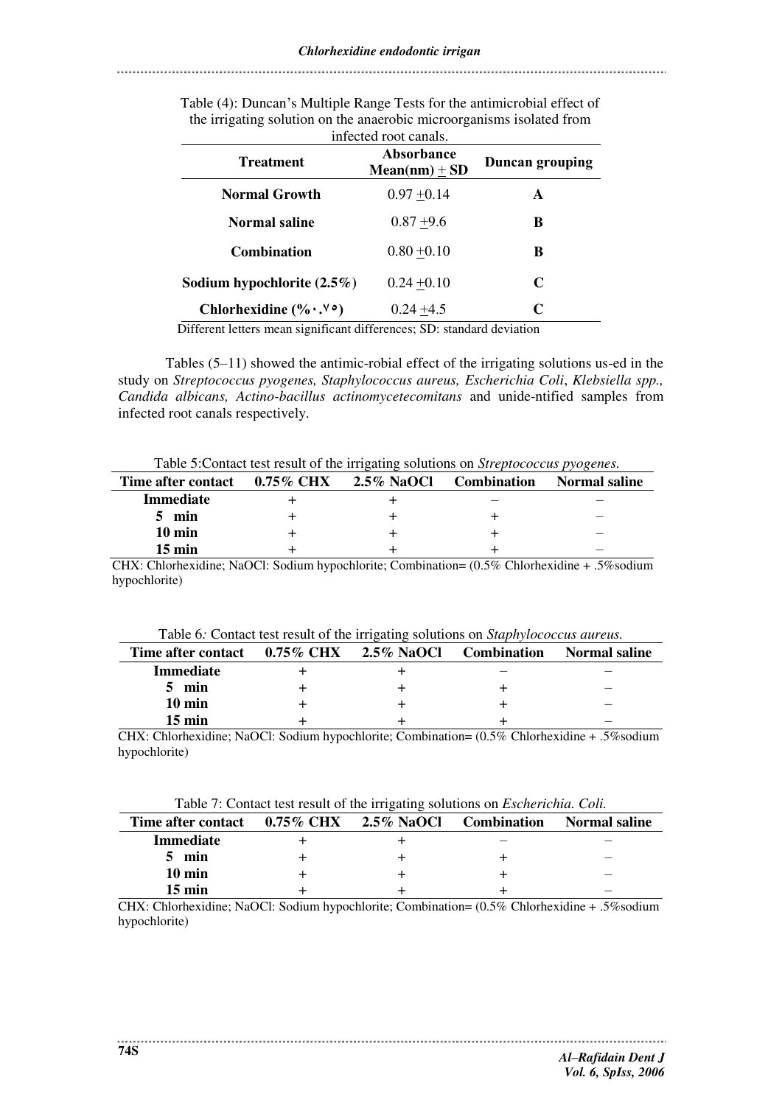| Intected foot canals.                     |                               |                        |  |  |
|-------------------------------------------|-------------------------------|------------------------|--|--|
| <b>Treatment</b>                          | Absorbance<br>$Mean(nm) + SD$ | <b>Duncan grouping</b> |  |  |
| <b>Normal Growth</b>                      | $0.97 + 0.14$                 | A                      |  |  |
| <b>Normal saline</b>                      | $0.87 + 9.6$                  | B                      |  |  |
| <b>Combination</b>                        | $0.80 + 0.10$                 | B                      |  |  |
| Sodium hypochlorite $(2.5\%)$             | $0.24 + 0.10$                 | C                      |  |  |
| Chlorhexidine $(\% \cdot \cdot \% \cdot)$ | $0.24 + 4.5$                  | C                      |  |  |

Table (4): Duncan's Multiple Range Tests for the antimicrobial effect of the irrigating solution on the anaerobic microorganisms isolated from infected root canals.

Different letters mean significant differences; SD: standard deviation

Tables (5–11) showed the antimic-robial effect of the irrigating solutions us-ed in the study on *Streptococcus pyogenes, Staphylococcus aureus, Escherichia Coli*, *Klebsiella spp., Candida albicans, Actino-bacillus actinomycetecomitans* and unide-ntified samples from infected root canals respectively.

Table 5:Contact test result of the irrigating solutions on *Streptococcus pyogenes.*

| Time after contact | $0.75\%~\mathrm{CHX}$ | $2.5\%$ NaOCl | <b>Combination</b> | <b>Normal saline</b> |
|--------------------|-----------------------|---------------|--------------------|----------------------|
| <b>Immediate</b>   |                       |               |                    |                      |
| min                |                       |               |                    |                      |
| 10 min             |                       |               |                    |                      |
| $15 \text{ min}$   |                       |               |                    |                      |

CHX: Chlorhexidine; NaOCl: Sodium hypochlorite; Combination= (0.5% Chlorhexidine + .5%sodium hypochlorite)

| Time after contact $0.75\%$ CHX | 2.5% NaOCl | <b>Combination</b> | Normal saline |
|---------------------------------|------------|--------------------|---------------|
| <b>Immediate</b>                |            |                    |               |
| $5$ min                         |            |                    | _             |
| 10 min                          |            |                    | _             |
| 15 min                          |            |                    |               |

CHX: Chlorhexidine; NaOCl: Sodium hypochlorite; Combination= (0.5% Chlorhexidine + .5%sodium hypochlorite)

| Time after contact 0.75% CHX 2.5% NaOCl |  | <b>Combination</b> | Normal saline |
|-----------------------------------------|--|--------------------|---------------|
| <b>Immediate</b>                        |  |                    |               |
| min                                     |  |                    | _             |
| 10 min                                  |  |                    |               |
| $15 \text{ min}$                        |  |                    | _             |

CHX: Chlorhexidine; NaOCl: Sodium hypochlorite; Combination= (0.5% Chlorhexidine + .5%sodium hypochlorite)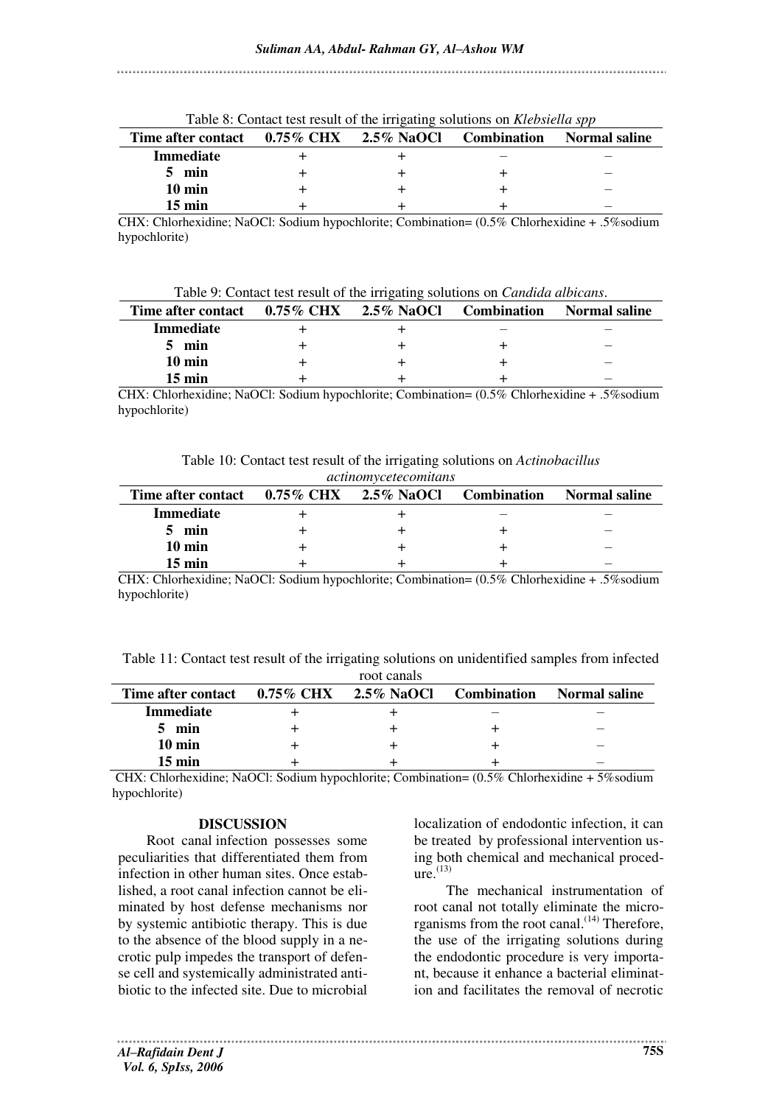| Time after contact $0.75\%$ CHX $2.5\%$ NaOCl |  | <b>Combination</b> | <b>Normal saline</b> |
|-----------------------------------------------|--|--------------------|----------------------|
| Immediate                                     |  |                    |                      |
| 5 min                                         |  |                    | _                    |
| $10 \text{ min}$                              |  |                    |                      |
| $15 \text{ min}$                              |  |                    |                      |

Table 8: Contact test result of the irrigating solutions on *Klebsiella spp* 

CHX: Chlorhexidine; NaOCl: Sodium hypochlorite; Combination= (0.5% Chlorhexidine + .5%sodium hypochlorite)

Table 9: Contact test result of the irrigating solutions on *Candida albicans*.

| Time after contact $0.75\%$ CHX $2.5\%$ NaOCl |  | <b>Combination</b> | Normal saline            |
|-----------------------------------------------|--|--------------------|--------------------------|
| <b>Immediate</b>                              |  |                    |                          |
| min                                           |  |                    | $\overline{\phantom{a}}$ |
| 10 min                                        |  |                    | $-$                      |
| 15 min                                        |  |                    | _                        |

CHX: Chlorhexidine; NaOCl: Sodium hypochlorite; Combination= (0.5% Chlorhexidine + .5%sodium hypochlorite)

Table 10: Contact test result of the irrigating solutions on *Actinobacillus actinomycetecomitans*

| Time after contact $0.75\%$ CHX | $2.5\%$ NaOCl | <b>Combination</b> | Normal saline            |
|---------------------------------|---------------|--------------------|--------------------------|
| <b>Immediate</b>                |               |                    |                          |
| min                             |               |                    |                          |
| 10 min                          |               |                    |                          |
| $15 \text{ min}$                |               |                    | $\overline{\phantom{a}}$ |

CHX: Chlorhexidine; NaOCl: Sodium hypochlorite; Combination= (0.5% Chlorhexidine + .5%sodium hypochlorite)

Table 11: Contact test result of the irrigating solutions on unidentified samples from infected

|                                               | root canals |                    |                      |
|-----------------------------------------------|-------------|--------------------|----------------------|
| Time after contact $0.75\%$ CHX $2.5\%$ NaOCl |             | <b>Combination</b> | <b>Normal saline</b> |
| <b>Immediate</b>                              |             |                    |                      |
| min                                           |             |                    |                      |
| $10 \text{ min}$                              |             |                    |                      |
| $15 \text{ min}$                              |             |                    |                      |

 CHX: Chlorhexidine; NaOCl: Sodium hypochlorite; Combination= (0.5% Chlorhexidine + 5%sodium hypochlorite)

# **DISCUSSION**

Root canal infection possesses some peculiarities that differentiated them from infection in other human sites. Once established, a root canal infection cannot be eliminated by host defense mechanisms nor by systemic antibiotic therapy. This is due to the absence of the blood supply in a necrotic pulp impedes the transport of defense cell and systemically administrated antibiotic to the infected site. Due to microbial

localization of endodontic infection, it can be treated by professional intervention using both chemical and mechanical proced $ure.$ <sup>(13)</sup>

 The mechanical instrumentation of root canal not totally eliminate the microrganisms from the root canal. $(14)$  Therefore, the use of the irrigating solutions during the endodontic procedure is very important, because it enhance a bacterial elimination and facilitates the removal of necrotic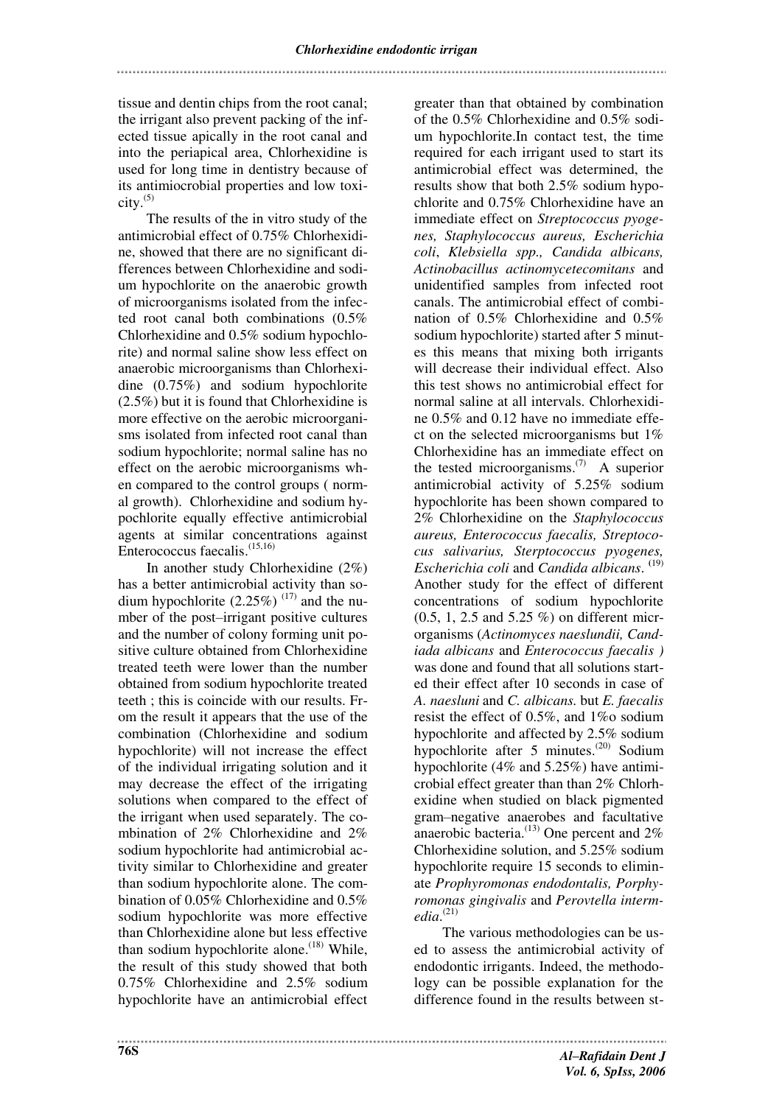tissue and dentin chips from the root canal; the irrigant also prevent packing of the infected tissue apically in the root canal and into the periapical area, Chlorhexidine is used for long time in dentistry because of its antimiocrobial properties and low toxi- $\text{city.}^{(5)}$ 

The results of the in vitro study of the antimicrobial effect of 0.75% Chlorhexidine, showed that there are no significant differences between Chlorhexidine and sodium hypochlorite on the anaerobic growth of microorganisms isolated from the infected root canal both combinations (0.5% Chlorhexidine and 0.5% sodium hypochlorite) and normal saline show less effect on anaerobic microorganisms than Chlorhexidine (0.75%) and sodium hypochlorite (2.5%) but it is found that Chlorhexidine is more effective on the aerobic microorganisms isolated from infected root canal than sodium hypochlorite; normal saline has no effect on the aerobic microorganisms when compared to the control groups ( normal growth). Chlorhexidine and sodium hypochlorite equally effective antimicrobial agents at similar concentrations against Enterococcus faecalis.<sup>(15,16)</sup>

In another study Chlorhexidine (2%) has a better antimicrobial activity than sodium hypochlorite  $(2.25\%)$ <sup>(17)</sup> and the number of the post–irrigant positive cultures and the number of colony forming unit positive culture obtained from Chlorhexidine treated teeth were lower than the number obtained from sodium hypochlorite treated teeth ; this is coincide with our results. From the result it appears that the use of the combination (Chlorhexidine and sodium hypochlorite) will not increase the effect of the individual irrigating solution and it may decrease the effect of the irrigating solutions when compared to the effect of the irrigant when used separately. The combination of 2% Chlorhexidine and 2% sodium hypochlorite had antimicrobial activity similar to Chlorhexidine and greater than sodium hypochlorite alone. The combination of 0.05% Chlorhexidine and 0.5% sodium hypochlorite was more effective than Chlorhexidine alone but less effective than sodium hypochlorite alone.<sup> $(18)$ </sup> While, the result of this study showed that both 0.75% Chlorhexidine and 2.5% sodium hypochlorite have an antimicrobial effect

greater than that obtained by combination of the 0.5% Chlorhexidine and 0.5% sodium hypochlorite.In contact test, the time required for each irrigant used to start its antimicrobial effect was determined, the results show that both 2.5% sodium hypochlorite and 0.75% Chlorhexidine have an immediate effect on *Streptococcus pyogenes, Staphylococcus aureus, Escherichia coli*, *Klebsiella spp., Candida albicans, Actinobacillus actinomycetecomitans* and unidentified samples from infected root canals. The antimicrobial effect of combination of 0.5% Chlorhexidine and 0.5% sodium hypochlorite) started after 5 minutes this means that mixing both irrigants will decrease their individual effect. Also this test shows no antimicrobial effect for normal saline at all intervals. Chlorhexidine 0.5% and 0.12 have no immediate effect on the selected microorganisms but 1% Chlorhexidine has an immediate effect on the tested microorganisms.<sup>(7)</sup> A superior antimicrobial activity of 5.25% sodium hypochlorite has been shown compared to 2% Chlorhexidine on the *Staphylococcus aureus, Enterococcus faecalis, Streptococus salivarius, Sterptococcus pyogenes, Escherichia coli* and *Candida albicans*. **(**19) Another study for the effect of different concentrations of sodium hypochlorite (0.5, 1, 2.5 and 5.25 %) on different microrganisms (*Actinomyces naeslundii, Candiada albicans* and *Enterococcus faecalis )*  was done and found that all solutions started their effect after 10 seconds in case of *A. naesluni* and *C. albicans.* but *E. faecalis* resist the effect of 0.5%, and 1%o sodium hypochlorite and affected by 2.5% sodium hypochlorite after 5 minutes.(20) Sodium hypochlorite (4% and 5.25%) have antimicrobial effect greater than than 2% Chlorhexidine when studied on black pigmented gram–negative anaerobes and facultative anaerobic bacteria. $^{(13)}$  One percent and  $2\%$ Chlorhexidine solution, and 5.25% sodium hypochlorite require 15 seconds to eliminate *Prophyromonas endodontalis, Porphyromonas gingivalis* and *Perovtella intermedia*. (21)

The various methodologies can be used to assess the antimicrobial activity of endodontic irrigants. Indeed, the methodology can be possible explanation for the difference found in the results between st-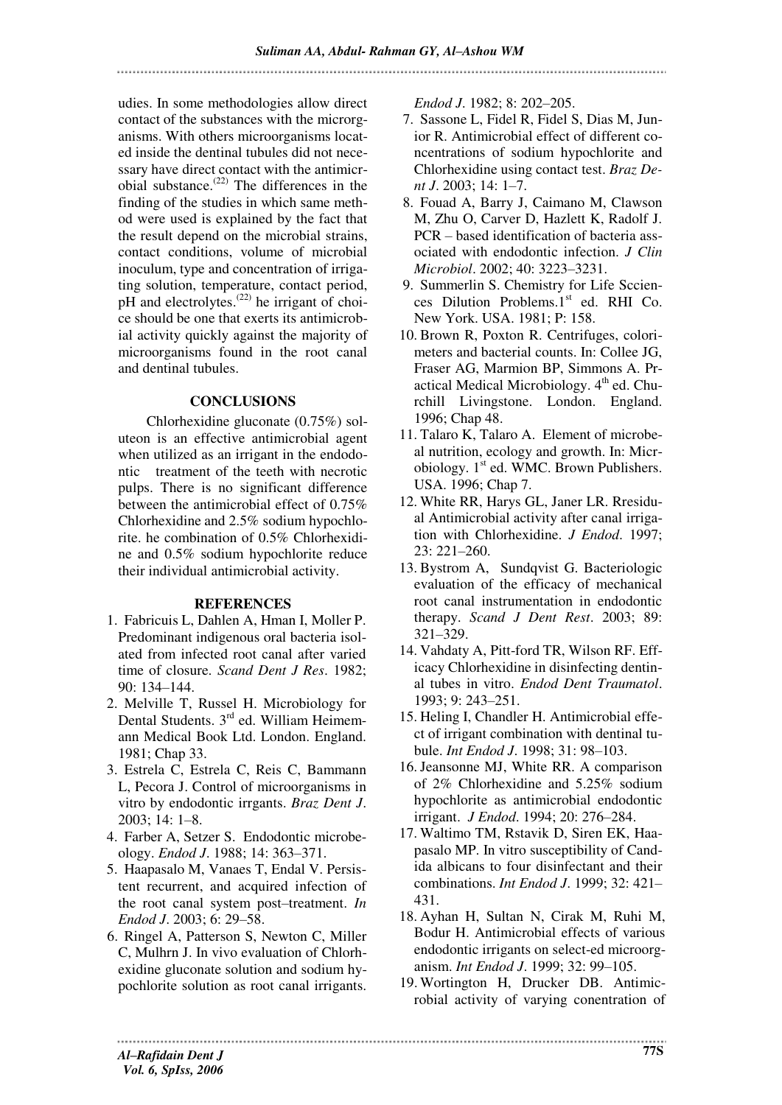udies. In some methodologies allow direct contact of the substances with the microrganisms. With others microorganisms located inside the dentinal tubules did not necessary have direct contact with the antimicr- $\delta$ bial substance.<sup>(22)</sup> The differences in the finding of the studies in which same method were used is explained by the fact that the result depend on the microbial strains, contact conditions, volume of microbial inoculum, type and concentration of irrigating solution, temperature, contact period, pH and electrolytes. $(22)$  he irrigant of choice should be one that exerts its antimicrobial activity quickly against the majority of microorganisms found in the root canal and dentinal tubules.

### **CONCLUSIONS**

Chlorhexidine gluconate (0.75%) soluteon is an effective antimicrobial agent when utilized as an irrigant in the endodontic treatment of the teeth with necrotic pulps. There is no significant difference between the antimicrobial effect of 0.75% Chlorhexidine and 2.5% sodium hypochlorite. he combination of 0.5% Chlorhexidine and 0.5% sodium hypochlorite reduce their individual antimicrobial activity.

### **REFERENCES**

- 1. Fabricuis L, Dahlen A, Hman I, Moller P. Predominant indigenous oral bacteria isolated from infected root canal after varied time of closure. *Scand Dent J Res*. 1982; 90: 134–144.
- 2. Melville T, Russel H. Microbiology for Dental Students. 3<sup>rd</sup> ed. William Heimemann Medical Book Ltd. London. England. 1981; Chap 33.
- 3. Estrela C, Estrela C, Reis C, Bammann L, Pecora J. Control of microorganisms in vitro by endodontic irrgants. *Braz Dent J*. 2003; 14: 1–8.
- 4. Farber A, Setzer S. Endodontic microbeology. *Endod J*. 1988; 14: 363–371.
- 5. Haapasalo M, Vanaes T, Endal V. Persistent recurrent, and acquired infection of the root canal system post–treatment. *In Endod J*. 2003; 6: 29–58.
- 6. Ringel A, Patterson S, Newton C, Miller C, Mulhrn J. In vivo evaluation of Chlorhexidine gluconate solution and sodium hypochlorite solution as root canal irrigants.

*Endod J*. 1982; 8: 202–205.

- 7. Sassone L, Fidel R, Fidel S, Dias M, Junior R. Antimicrobial effect of different concentrations of sodium hypochlorite and Chlorhexidine using contact test. *Braz Dent J*. 2003; 14: 1–7.
- 8. Fouad A, Barry J, Caimano M, Clawson M, Zhu O, Carver D, Hazlett K, Radolf J. PCR – based identification of bacteria associated with endodontic infection. *J Clin Microbiol*. 2002; 40: 3223–3231.
- 9. Summerlin S. Chemistry for Life Scciences Dilution Problems.1<sup>st</sup> ed. RHI Co. New York. USA. 1981; P: 158.
- 10. Brown R, Poxton R. Centrifuges, colorimeters and bacterial counts. In: Collee JG, Fraser AG, Marmion BP, Simmons A. Practical Medical Microbiology.  $4<sup>th</sup>$  ed. Churchill Livingstone. London. England. 1996; Chap 48.
- 11. Talaro K, Talaro A. Element of microbeal nutrition, ecology and growth. In: Microbiology.  $1<sup>st</sup>$  ed. WMC. Brown Publishers. USA. 1996; Chap 7.
- 12. White RR, Harys GL, Janer LR. Rresidual Antimicrobial activity after canal irrigation with Chlorhexidine. *J Endod*. 1997; 23: 221–260.
- 13. Bystrom A, Sundqvist G. Bacteriologic evaluation of the efficacy of mechanical root canal instrumentation in endodontic therapy. *Scand J Dent Rest*. 2003; 89: 321–329.
- 14. Vahdaty A, Pitt-ford TR, Wilson RF. Efficacy Chlorhexidine in disinfecting dentinal tubes in vitro. *Endod Dent Traumatol*. 1993; 9: 243–251.
- 15. Heling I, Chandler H. Antimicrobial effect of irrigant combination with dentinal tubule. *Int Endod J*. 1998; 31: 98–103.
- 16. Jeansonne MJ, White RR. A comparison of 2% Chlorhexidine and 5.25% sodium hypochlorite as antimicrobial endodontic irrigant. *J Endod*. 1994; 20: 276–284.
- 17. Waltimo TM, Rstavik D, Siren EK, Haapasalo MP. In vitro susceptibility of Candida albicans to four disinfectant and their combinations. *Int Endod J*. 1999; 32: 421– 431.
- 18. Ayhan H, Sultan N, Cirak M, Ruhi M, Bodur H. Antimicrobial effects of various endodontic irrigants on select-ed microorganism. *Int Endod J*. 1999; 32: 99–105.
- 19. Wortington H, Drucker DB. Antimicrobial activity of varying conentration of